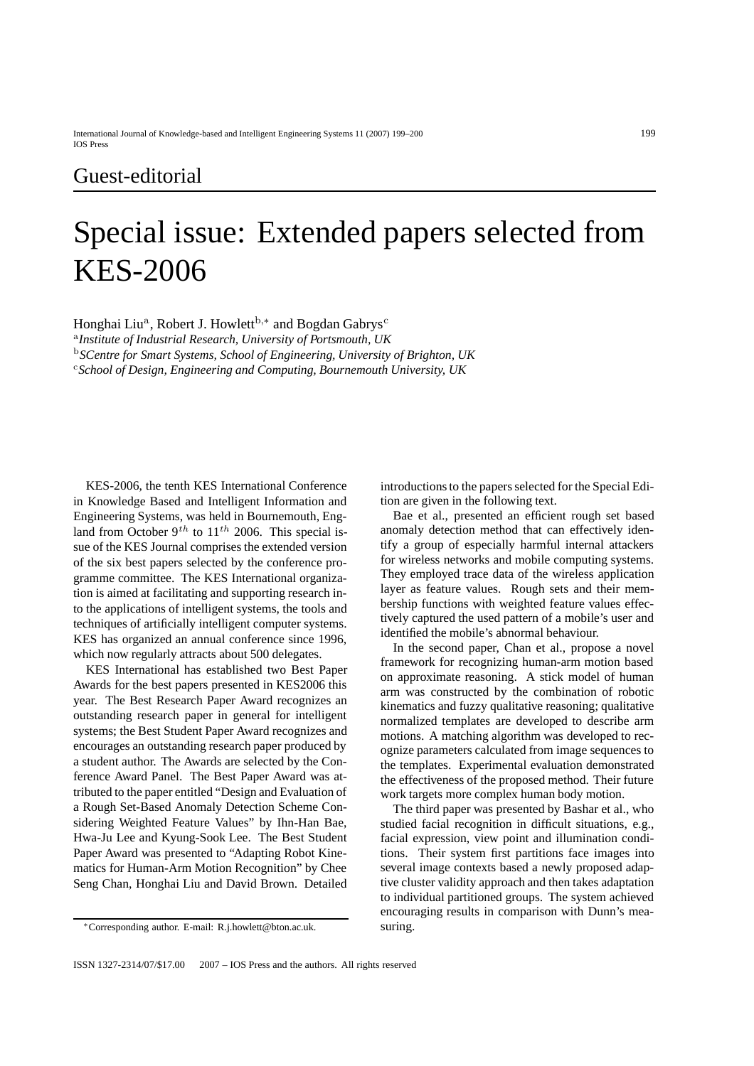## Guest-editorial

## Special issue: Extended papers selected from KES-2006

Honghai Liu<sup>a</sup>, Robert J. Howlett<sup>b,∗</sup> and Bogdan Gabrys<sup>c</sup>

<sup>a</sup>*Institute of Industrial Research, University of Portsmouth, UK*

<sup>b</sup>*SCentre for Smart Systems, School of Engineering, University of Brighton, UK*

<sup>c</sup>*School of Design, Engineering and Computing, Bournemouth University, UK*

KES-2006, the tenth KES International Conference in Knowledge Based and Intelligent Information and Engineering Systems, was held in Bournemouth, England from October 9*th* to 11*th* 2006. This special issue of the KES Journal comprises the extended version of the six best papers selected by the conference programme committee. The KES International organization is aimed at facilitating and supporting research into the applications of intelligent systems, the tools and techniques of artificially intelligent computer systems. KES has organized an annual conference since 1996, which now regularly attracts about 500 delegates.

KES International has established two Best Paper Awards for the best papers presented in KES2006 this year. The Best Research Paper Award recognizes an outstanding research paper in general for intelligent systems; the Best Student Paper Award recognizes and encourages an outstanding research paper produced by a student author. The Awards are selected by the Conference Award Panel. The Best Paper Award was attributed to the paper entitled "Design and Evaluation of a Rough Set-Based Anomaly Detection Scheme Considering Weighted Feature Values" by Ihn-Han Bae, Hwa-Ju Lee and Kyung-Sook Lee. The Best Student Paper Award was presented to "Adapting Robot Kinematics for Human-Arm Motion Recognition" by Chee Seng Chan, Honghai Liu and David Brown. Detailed

introductions to the papers selected for the Special Edition are given in the following text.

Bae et al., presented an efficient rough set based anomaly detection method that can effectively identify a group of especially harmful internal attackers for wireless networks and mobile computing systems. They employed trace data of the wireless application layer as feature values. Rough sets and their membership functions with weighted feature values effectively captured the used pattern of a mobile's user and identified the mobile's abnormal behaviour.

In the second paper, Chan et al., propose a novel framework for recognizing human-arm motion based on approximate reasoning. A stick model of human arm was constructed by the combination of robotic kinematics and fuzzy qualitative reasoning; qualitative normalized templates are developed to describe arm motions. A matching algorithm was developed to recognize parameters calculated from image sequences to the templates. Experimental evaluation demonstrated the effectiveness of the proposed method. Their future work targets more complex human body motion.

The third paper was presented by Bashar et al., who studied facial recognition in difficult situations, e.g., facial expression, view point and illumination conditions. Their system first partitions face images into several image contexts based a newly proposed adaptive cluster validity approach and then takes adaptation to individual partitioned groups. The system achieved encouraging results in comparison with Dunn's measuring.

<sup>∗</sup>Corresponding author. E-mail: R.j.howlett@bton.ac.uk.

ISSN 1327-2314/07/\$17.00  $\oslash$  2007 - IOS Press and the authors. All rights reserved